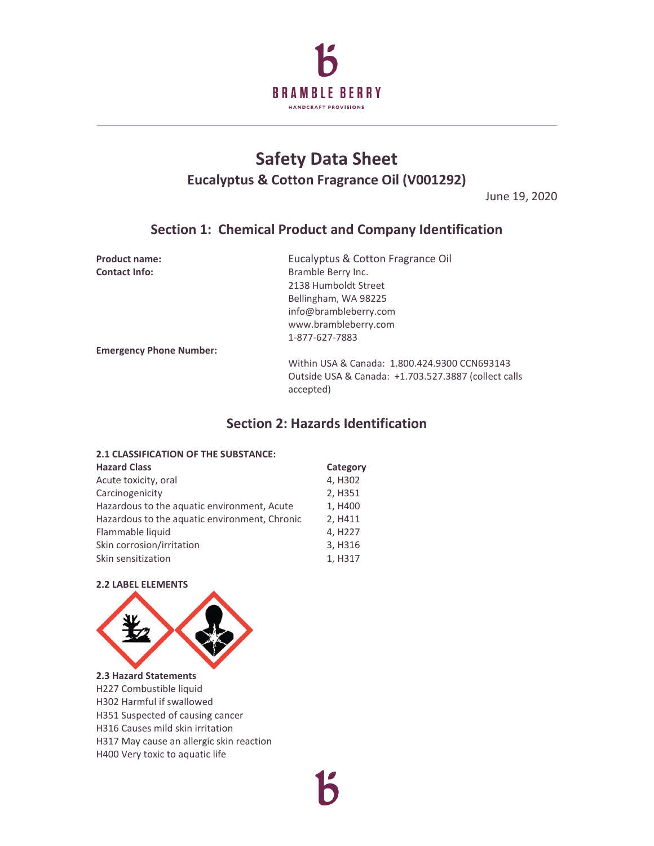

# **Safety Data Sheet Eucalyptus & Cotton Fragrance Oil (V001292)**

June 19, 2020

# **Section 1: Chemical Product and Company Identification**

**Product name:** Eucalyptus & Cotton Fragrance Oil **Contact Info:** Bramble Berry Inc. 2138 Humboldt Street Bellingham, WA 98225 info@brambleberry.com www.brambleberry.com 1-877-627-7883

**Emergency Phone Number:**

Within USA & Canada: 1.800.424.9300 CCN693143 Outside USA & Canada: +1.703.527.3887 (collect calls accepted)

# **Section 2: Hazards Identification**

## **2.1 CLASSIFICATION OF THE SUBSTANCE: Hazard Class Category** Acute toxicity, oral 4, H302 Carcinogenicity 2, H351 Hazardous to the aquatic environment, Acute 1, H400

| Hazardous to the aquatic environment, Chronic                       | 2. H411                                    |
|---------------------------------------------------------------------|--------------------------------------------|
| Flammable liquid<br>Skin corrosion/irritation<br>Skin sensitization | 4. H <sub>22</sub> 7<br>3. H316<br>1. H317 |

# **2.2 LABEL ELEMENTS**



# **2.3 Hazard Statements**

H227 Combustible liquid H302 Harmful if swallowed

- H351 Suspected of causing cancer
- H316 Causes mild skin irritation
- H317 May cause an allergic skin reaction
- H400 Very toxic to aquatic life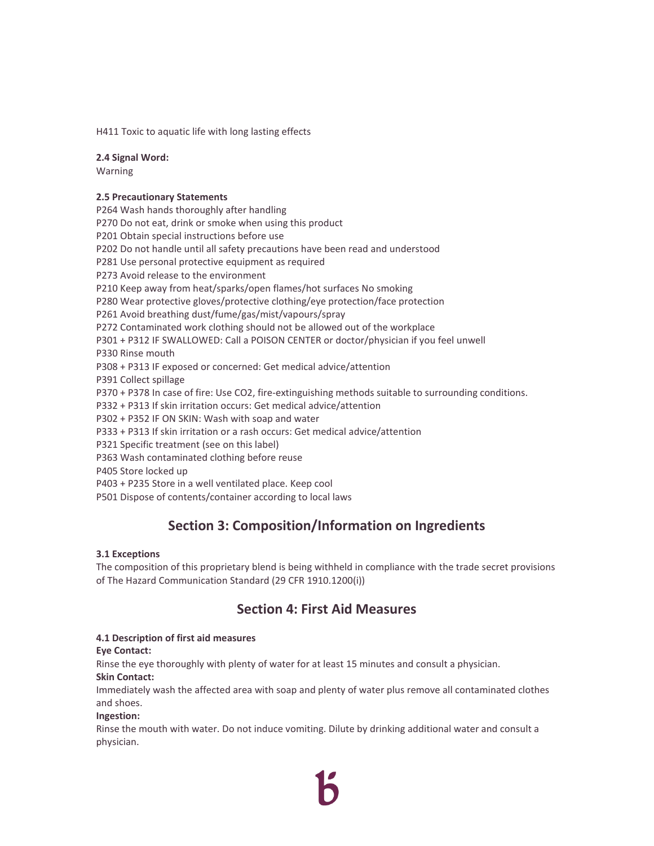H411 Toxic to aquatic life with long lasting effects

### **2.4 Signal Word:**

Warning

### **2.5 Precautionary Statements**

P264 Wash hands thoroughly after handling P270 Do not eat, drink or smoke when using this product P201 Obtain special instructions before use P202 Do not handle until all safety precautions have been read and understood P281 Use personal protective equipment as required P273 Avoid release to the environment P210 Keep away from heat/sparks/open flames/hot surfaces No smoking P280 Wear protective gloves/protective clothing/eye protection/face protection P261 Avoid breathing dust/fume/gas/mist/vapours/spray P272 Contaminated work clothing should not be allowed out of the workplace P301 + P312 IF SWALLOWED: Call a POISON CENTER or doctor/physician if you feel unwell P330 Rinse mouth P308 + P313 IF exposed or concerned: Get medical advice/attention P391 Collect spillage P370 + P378 In case of fire: Use CO2, fire-extinguishing methods suitable to surrounding conditions. P332 + P313 If skin irritation occurs: Get medical advice/attention P302 + P352 IF ON SKIN: Wash with soap and water P333 + P313 If skin irritation or a rash occurs: Get medical advice/attention P321 Specific treatment (see on this label) P363 Wash contaminated clothing before reuse P405 Store locked up P403 + P235 Store in a well ventilated place. Keep cool P501 Dispose of contents/container according to local laws

# **Section 3: Composition/Information on Ingredients**

### **3.1 Exceptions**

The composition of this proprietary blend is being withheld in compliance with the trade secret provisions of The Hazard Communication Standard (29 CFR 1910.1200(i))

# **Section 4: First Aid Measures**

### **4.1 Description of first aid measures**

### **Eye Contact:**

Rinse the eye thoroughly with plenty of water for at least 15 minutes and consult a physician.

### **Skin Contact:**

Immediately wash the affected area with soap and plenty of water plus remove all contaminated clothes and shoes.

### **Ingestion:**

Rinse the mouth with water. Do not induce vomiting. Dilute by drinking additional water and consult a physician.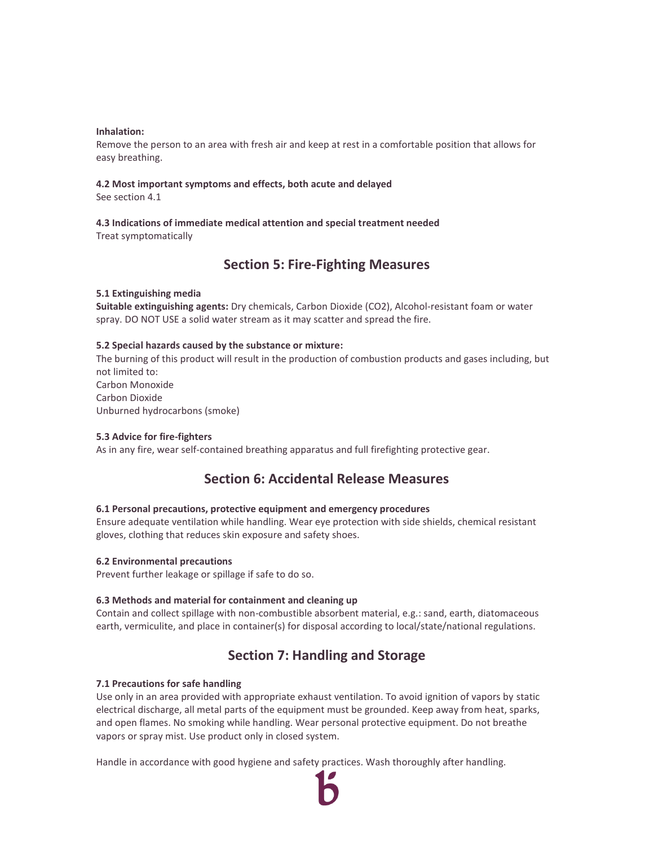#### **Inhalation:**

Remove the person to an area with fresh air and keep at rest in a comfortable position that allows for easy breathing.

### **4.2 Most important symptoms and effects, both acute and delayed**

See section 4.1

# **4.3 Indications of immediate medical attention and special treatment needed**

Treat symptomatically

# **Section 5: Fire-Fighting Measures**

### **5.1 Extinguishing media**

**Suitable extinguishing agents:** Dry chemicals, Carbon Dioxide (CO2), Alcohol-resistant foam or water spray. DO NOT USE a solid water stream as it may scatter and spread the fire.

### **5.2 Special hazards caused by the substance or mixture:**

The burning of this product will result in the production of combustion products and gases including, but not limited to: Carbon Monoxide Carbon Dioxide Unburned hydrocarbons (smoke)

### **5.3 Advice for fire-fighters**

As in any fire, wear self-contained breathing apparatus and full firefighting protective gear.

# **Section 6: Accidental Release Measures**

### **6.1 Personal precautions, protective equipment and emergency procedures**

Ensure adequate ventilation while handling. Wear eye protection with side shields, chemical resistant gloves, clothing that reduces skin exposure and safety shoes.

#### **6.2 Environmental precautions**

Prevent further leakage or spillage if safe to do so.

### **6.3 Methods and material for containment and cleaning up**

Contain and collect spillage with non-combustible absorbent material, e.g.: sand, earth, diatomaceous earth, vermiculite, and place in container(s) for disposal according to local/state/national regulations.

# **Section 7: Handling and Storage**

#### **7.1 Precautions for safe handling**

Use only in an area provided with appropriate exhaust ventilation. To avoid ignition of vapors by static electrical discharge, all metal parts of the equipment must be grounded. Keep away from heat, sparks, and open flames. No smoking while handling. Wear personal protective equipment. Do not breathe vapors or spray mist. Use product only in closed system.

Handle in accordance with good hygiene and safety practices. Wash thoroughly after handling.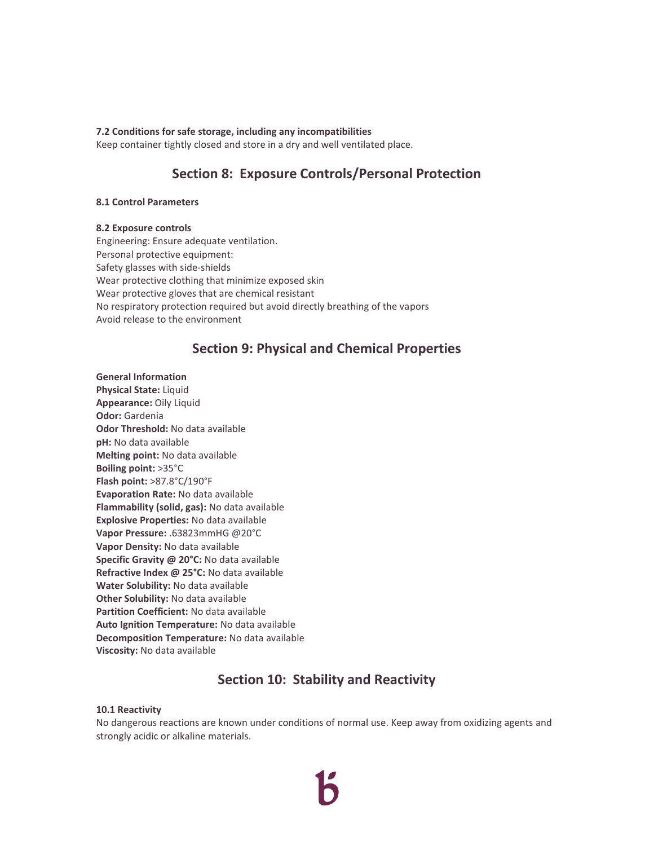#### **7.2 Conditions for safe storage, including any incompatibilities**

Keep container tightly closed and store in a dry and well ventilated place.

# **Section 8: Exposure Controls/Personal Protection**

#### **8.1 Control Parameters**

#### **8.2 Exposure controls**

Engineering: Ensure adequate ventilation. Personal protective equipment: Safety glasses with side-shields Wear protective clothing that minimize exposed skin Wear protective gloves that are chemical resistant No respiratory protection required but avoid directly breathing of the vapors Avoid release to the environment

# **Section 9: Physical and Chemical Properties**

#### **General Information**

**Physical State:** Liquid **Appearance:** Oily Liquid **Odor:** Gardenia **Odor Threshold:** No data available **pH:** No data available **Melting point:** No data available **Boiling point:** >35°C **Flash point:** >87.8°C/190°F **Evaporation Rate:** No data available **Flammability (solid, gas):** No data available **Explosive Properties:** No data available **Vapor Pressure:** .63823mmHG @20°C **Vapor Density:** No data available **Specific Gravity @ 20°C:** No data available **Refractive Index @ 25°C:** No data available **Water Solubility:** No data available **Other Solubility:** No data available **Partition Coefficient:** No data available **Auto Ignition Temperature:** No data available **Decomposition Temperature:** No data available **Viscosity:** No data available

# **Section 10: Stability and Reactivity**

#### **10.1 Reactivity**

No dangerous reactions are known under conditions of normal use. Keep away from oxidizing agents and strongly acidic or alkaline materials.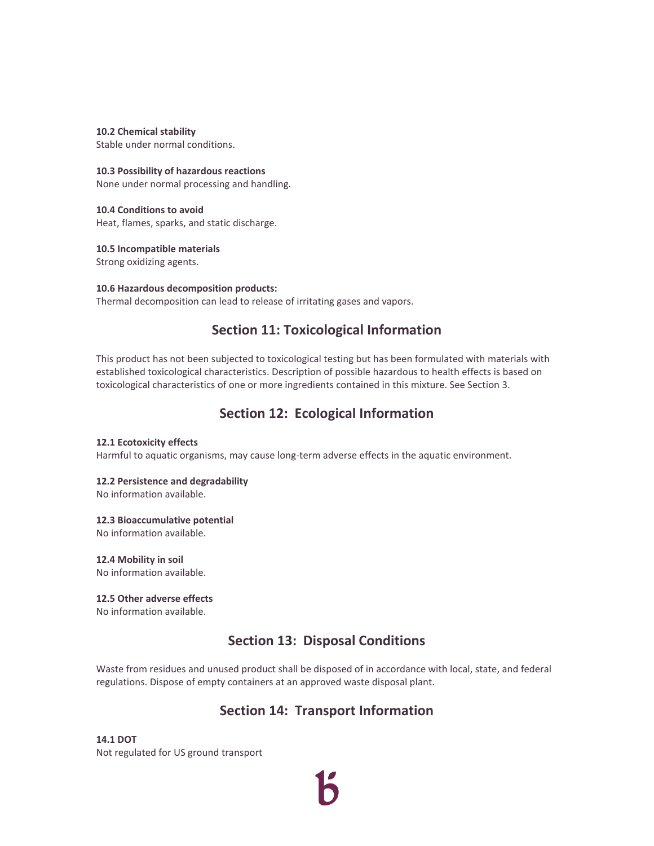#### **10.2 Chemical stability**

Stable under normal conditions.

#### **10.3 Possibility of hazardous reactions**

None under normal processing and handling.

### **10.4 Conditions to avoid**  Heat, flames, sparks, and static discharge.

**10.5 Incompatible materials** 

Strong oxidizing agents.

## **10.6 Hazardous decomposition products:** Thermal decomposition can lead to release of irritating gases and vapors.

# **Section 11: Toxicological Information**

This product has not been subjected to toxicological testing but has been formulated with materials with established toxicological characteristics. Description of possible hazardous to health effects is based on toxicological characteristics of one or more ingredients contained in this mixture. See Section 3.

# **Section 12: Ecological Information**

#### **12.1 Ecotoxicity effects**

Harmful to aquatic organisms, may cause long-term adverse effects in the aquatic environment.

# **12.2 Persistence and degradability**

No information available.

#### **12.3 Bioaccumulative potential**

No information available.

### **12.4 Mobility in soil**

No information available.

# **12.5 Other adverse effects**

No information available.

# **Section 13: Disposal Conditions**

Waste from residues and unused product shall be disposed of in accordance with local, state, and federal regulations. Dispose of empty containers at an approved waste disposal plant.

# **Section 14: Transport Information**

**14.1 DOT**  Not regulated for US ground transport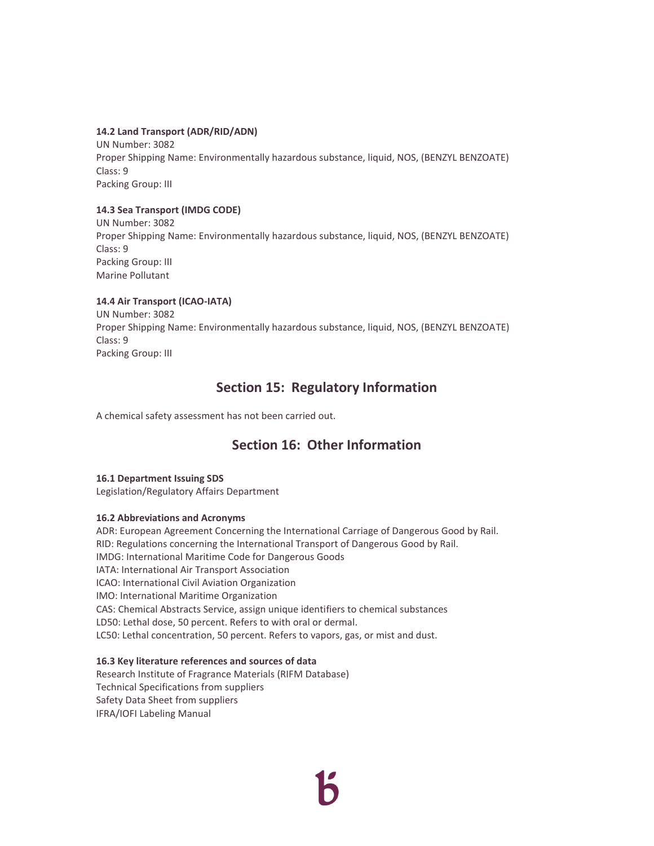#### **14.2 Land Transport (ADR/RID/ADN)**

UN Number: 3082 Proper Shipping Name: Environmentally hazardous substance, liquid, NOS, (BENZYL BENZOATE) Class: 9 Packing Group: III

### **14.3 Sea Transport (IMDG CODE)**

UN Number: 3082 Proper Shipping Name: Environmentally hazardous substance, liquid, NOS, (BENZYL BENZOATE) Class: 9 Packing Group: III Marine Pollutant

### **14.4 Air Transport (ICAO-IATA)**

UN Number: 3082 Proper Shipping Name: Environmentally hazardous substance, liquid, NOS, (BENZYL BENZOATE) Class: 9 Packing Group: III

# **Section 15: Regulatory Information**

A chemical safety assessment has not been carried out.

# **Section 16: Other Information**

#### **16.1 Department Issuing SDS**

Legislation/Regulatory Affairs Department

### **16.2 Abbreviations and Acronyms**

ADR: European Agreement Concerning the International Carriage of Dangerous Good by Rail. RID: Regulations concerning the International Transport of Dangerous Good by Rail. IMDG: International Maritime Code for Dangerous Goods IATA: International Air Transport Association ICAO: International Civil Aviation Organization IMO: International Maritime Organization CAS: Chemical Abstracts Service, assign unique identifiers to chemical substances LD50: Lethal dose, 50 percent. Refers to with oral or dermal. LC50: Lethal concentration, 50 percent. Refers to vapors, gas, or mist and dust.

#### **16.3 Key literature references and sources of data**

Research Institute of Fragrance Materials (RIFM Database) Technical Specifications from suppliers Safety Data Sheet from suppliers IFRA/IOFI Labeling Manual